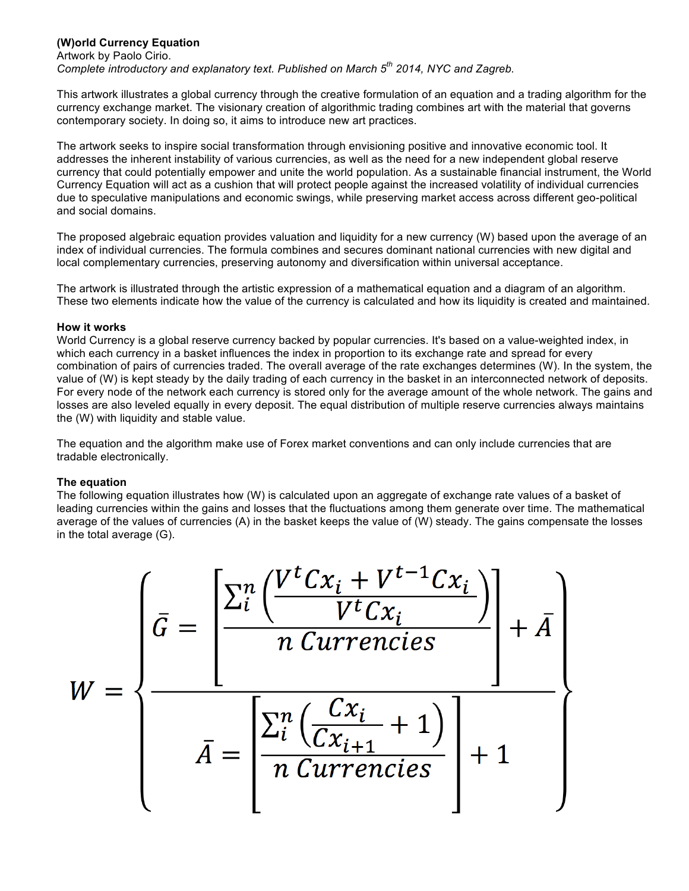# **(W)orld Currency Equation**

Artwork by Paolo Cirio. *Complete introductory and explanatory text. Published on March 5th 2014, NYC and Zagreb.*

This artwork illustrates a global currency through the creative formulation of an equation and a trading algorithm for the currency exchange market. The visionary creation of algorithmic trading combines art with the material that governs contemporary society. In doing so, it aims to introduce new art practices.

The artwork seeks to inspire social transformation through envisioning positive and innovative economic tool. It addresses the inherent instability of various currencies, as well as the need for a new independent global reserve currency that could potentially empower and unite the world population. As a sustainable financial instrument, the World Currency Equation will act as a cushion that will protect people against the increased volatility of individual currencies due to speculative manipulations and economic swings, while preserving market access across different geo-political and social domains.

The proposed algebraic equation provides valuation and liquidity for a new currency (W) based upon the average of an index of individual currencies. The formula combines and secures dominant national currencies with new digital and local complementary currencies, preserving autonomy and diversification within universal acceptance.

The artwork is illustrated through the artistic expression of a mathematical equation and a diagram of an algorithm. These two elements indicate how the value of the currency is calculated and how its liquidity is created and maintained.

## **How it works**

World Currency is a global reserve currency backed by popular currencies. It's based on a value-weighted index, in which each currency in a basket influences the index in proportion to its exchange rate and spread for every combination of pairs of currencies traded. The overall average of the rate exchanges determines (W). In the system, the value of (W) is kept steady by the daily trading of each currency in the basket in an interconnected network of deposits. For every node of the network each currency is stored only for the average amount of the whole network. The gains and losses are also leveled equally in every deposit. The equal distribution of multiple reserve currencies always maintains the (W) with liquidity and stable value.

The equation and the algorithm make use of Forex market conventions and can only include currencies that are tradable electronically.

## **The equation**

The following equation illustrates how (W) is calculated upon an aggregate of exchange rate values of a basket of leading currencies within the gains and losses that the fluctuations among them generate over time. The mathematical average of the values of currencies (A) in the basket keeps the value of (W) steady. The gains compensate the losses in the total average (G).

$$
W = \left\{\frac{\overline{G}}{d} = \frac{\left[\frac{\sum_{i}^{n} \left(\frac{V^{t}Cx_{i} + V^{t-1}Cx_{i}}{V^{t}Cx_{i}}\right)}{n \text{ Current} \text{ }}\right] + \overline{A}}{\overline{A}} = \left[\frac{\sum_{i}^{n} \left(\frac{Cx_{i}}{Cx_{i+1}} + 1\right)}{n \text{ Current} \text{ }}\right] + 1
$$